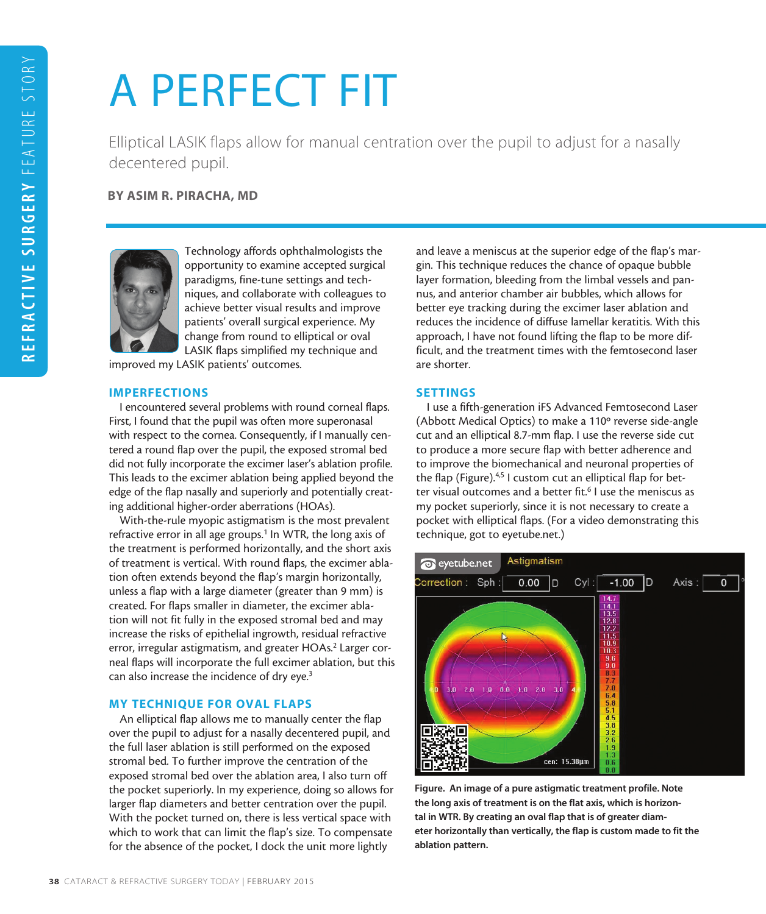# A PERFECT FIT

Elliptical LASIK flaps allow for manual centration over the pupil to adjust for a nasally decentered pupil.

BY ASIM R. PIRACHA, MD



Technology affords ophthalmologists the opportunity to examine accepted surgical paradigms, fine-tune settings and techniques, and collaborate with colleagues to achieve better visual results and improve patients' overall surgical experience. My change from round to elliptical or oval LASIK flaps simplified my technique and

improved my LASIK patients' outcomes.

### IMPERFECTIONS

I encountered several problems with round corneal flaps. First, I found that the pupil was often more superonasal with respect to the cornea. Consequently, if I manually centered a round flap over the pupil, the exposed stromal bed did not fully incorporate the excimer laser's ablation profile. This leads to the excimer ablation being applied beyond the edge of the flap nasally and superiorly and potentially creating additional higher-order aberrations (HOAs).

With-the-rule myopic astigmatism is the most prevalent refractive error in all age groups.<sup>1</sup> In WTR, the long axis of the treatment is performed horizontally, and the short axis of treatment is vertical. With round flaps, the excimer ablation often extends beyond the flap's margin horizontally, unless a flap with a large diameter (greater than 9 mm) is created. For flaps smaller in diameter, the excimer ablation will not fit fully in the exposed stromal bed and may increase the risks of epithelial ingrowth, residual refractive error, irregular astigmatism, and greater HOAs.<sup>2</sup> Larger corneal flaps will incorporate the full excimer ablation, but this can also increase the incidence of dry eye.3

# MY TECHNIQUE FOR OVAL FLAPS

An elliptical flap allows me to manually center the flap over the pupil to adjust for a nasally decentered pupil, and the full laser ablation is still performed on the exposed stromal bed. To further improve the centration of the exposed stromal bed over the ablation area, I also turn off the pocket superiorly. In my experience, doing so allows for larger flap diameters and better centration over the pupil. With the pocket turned on, there is less vertical space with which to work that can limit the flap's size. To compensate for the absence of the pocket, I dock the unit more lightly

and leave a meniscus at the superior edge of the flap's margin. This technique reduces the chance of opaque bubble layer formation, bleeding from the limbal vessels and pannus, and anterior chamber air bubbles, which allows for better eye tracking during the excimer laser ablation and reduces the incidence of diffuse lamellar keratitis. With this approach, I have not found lifting the flap to be more difficult, and the treatment times with the femtosecond laser are shorter.

# SETTINGS

I use a fifth-generation iFS Advanced Femtosecond Laser (Abbott Medical Optics) to make a 110º reverse side-angle cut and an elliptical 8.7-mm flap. I use the reverse side cut to produce a more secure flap with better adherence and to improve the biomechanical and neuronal properties of the flap (Figure).<sup>4,5</sup> I custom cut an elliptical flap for better visual outcomes and a better fit.<sup>6</sup> I use the meniscus as my pocket superiorly, since it is not necessary to create a pocket with elliptical flaps. (For a video demonstrating this technique, got to eyetube.net.)



Figure. An image of a pure astigmatic treatment profile. Note the long axis of treatment is on the flat axis, which is horizontal in WTR. By creating an oval flap that is of greater diameter horizontally than vertically, the flap is custom made to fit the ablation pattern.